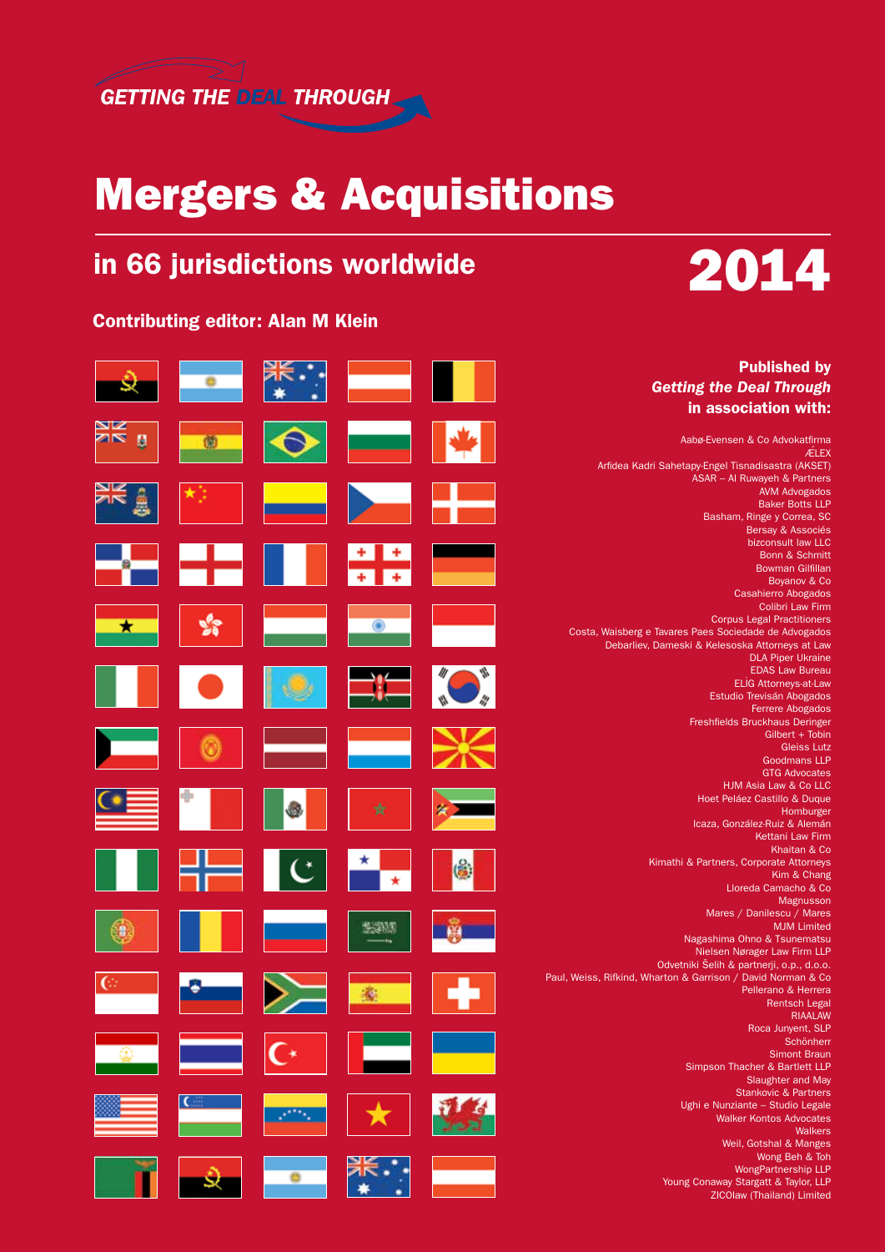

## Mergers & Acquisitions

## in 66 jurisdictions worldwide

### Contributing editor: Alan M Klein



Young Conaway Stargatt & Taylor, LLP ZICOlaw (Thailand) Limited

#### Published by *Getting the Deal Through*  in association with: **ZIN**  $\mathbf{B}$  $\circ$ Aabø-Evensen & Co Advokatfirma **ÆLEX** Arfidea Kadri Sahetapy-Engel Tisnadisastra (AKSET) ASAR – Al Ruwayeh & Partners AVM Advogados Baker Botts LLP Basham, Ringe y Correa, SC Bersay & Associés bizconsult law LLC a. Bonn & Schmitt Bowman Gilfillan **Ta** Boyanov & Co Casahierro Abogados Colibri Law Firm Corpus Legal Practitioners Costa, Waisberg e Tavares Paes Sociedade de Advogados Debarliev, Dameski & Kelesoska Attorneys at Law DLA Piper Ukraine EDAS Law Bureau **ELIG Attorneys-at-Law** Estudio Trevisán Abogados Ferrere Abogados Freshfields Bruckhaus Deringer Gilbert + Tobin Gleiss Lutz Goodmans LLP GTG Advocates HJM Asia Law & Co LLC Hoet Peláez Castillo & Duque Homburger Icaza, González-Ruiz & Alemán Kettani Law Firm Khaitan & Co. (台) Kimathi & Partners, Corporate Attorneys Kim & Chang  $\star$ Lloreda Camacho & Co Magnusson Mares / Danilescu / Mares 多深厚 MJM Limited Nagashima Ohno & Tsunematsu Nielsen Nørager Law Firm LLP Odvetniki Šelih & partnerji, o.p., d.o.o. Paul, Weiss, Rifkind, Wharton & Garrison / David Norman & Co Pellerano & Herrera Rentsch Legal **RIAALAW** Roca Junyent, SLP **Schönherr** Simont Braun Simpson Thacher & Bartlett LLP Slaughter and May Stankovic & Partners Ughi e Nunziante – Studio Legale Walker Kontos Advocates Walkers Weil, Gotshal & Manges Wong Beh & Toh WongPartnership LLP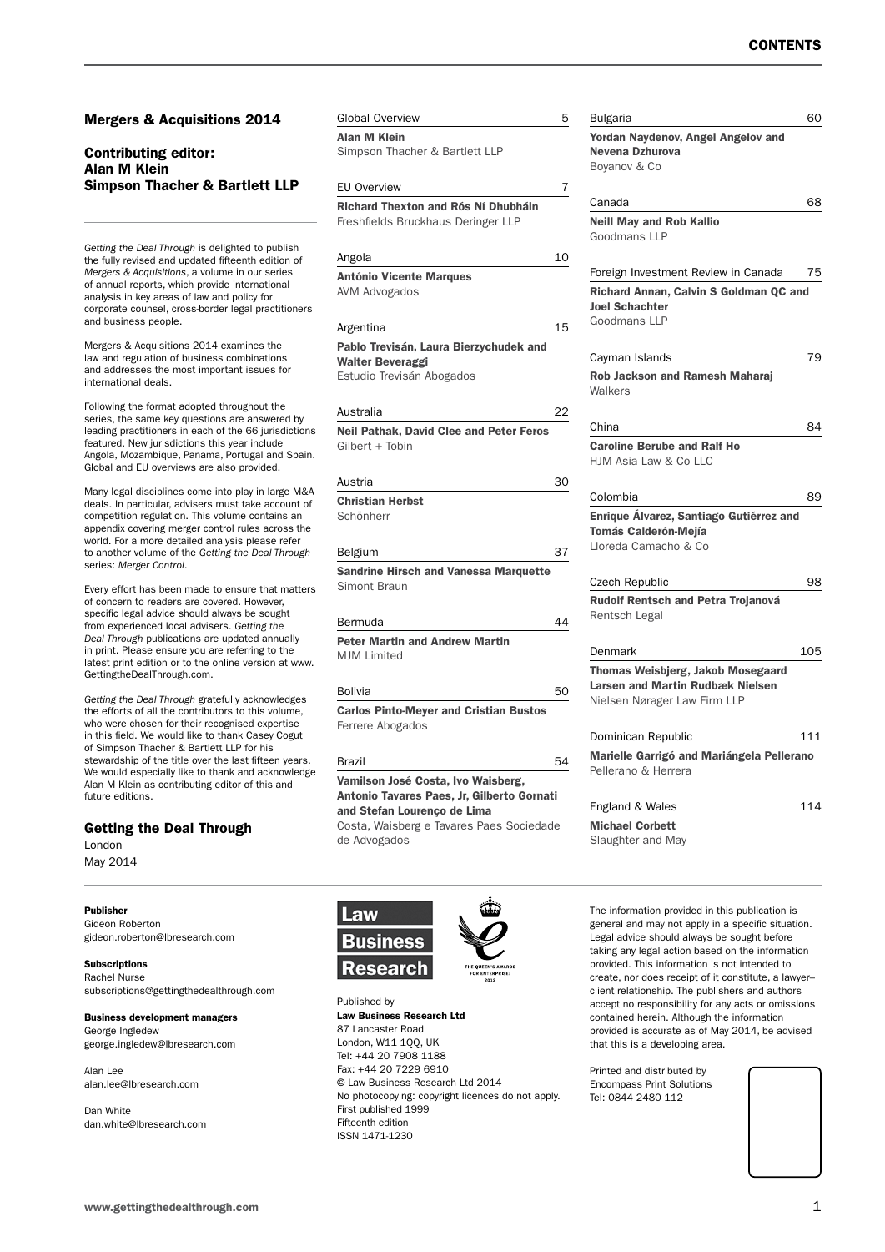#### Mergers & Acquisitions 2014

#### Contributing editor: Alan M Klein Simpson Thacher & Bartlett LLP

*Getting the Deal Through* is delighted to publish the fully revised and updated fifteenth edition of *Mergers & Acquisitions*, a volume in our series of annual reports, which provide international analysis in key areas of law and policy for corporate counsel, cross-border legal practitioners and business people.

Mergers & Acquisitions 2014 examines the law and regulation of business combinations and addresses the most important issues for international deals.

Following the format adopted throughout the series, the same key questions are answered by leading practitioners in each of the 66 jurisdictions featured. New jurisdictions this year include Angola, Mozambique, Panama, Portugal and Spain. Global and EU overviews are also provided.

Many legal disciplines come into play in large M&A deals. In particular, advisers must take account of competition regulation. This volume contains an appendix covering merger control rules across the world. For a more detailed analysis please refer to another volume of the *Getting the Deal Through* series: *Merger Control*.

Every effort has been made to ensure that matters of concern to readers are covered. However, specific legal advice should always be sought from experienced local advisers. *Getting the Deal Through* publications are updated annually in print. Please ensure you are referring to the latest print edition or to the online version at www. GettingtheDealThrough.com.

*Getting the Deal Through* gratefully acknowledges the efforts of all the contributors to this volume, who were chosen for their recognised expertise in this field. We would like to thank Casey Cogut of Simpson Thacher & Bartlett LLP for his stewardship of the title over the last fifteen years. We would especially like to thank and acknowledge Alan M Klein as contributing editor of this and future editions.

#### Getting the Deal Through

London May 2014

Publisher Gideon Roberton

gideon.roberton@lbresearch.com

Subscriptions Rachel Nurse subscriptions@gettingthedealthrough.com

Business development managers George Ingledew

george.ingledew@lbresearch.com

Alan Lee alan.lee@lbresearch.com

Dan White dan.white@lbresearch.com Alan M Klein Simpson Thacher & Bartlett LLP EU Overview 7 Richard Thexton and Rós Ní Dhubháin Freshfields Bruckhaus Deringer LLP Angola 10 António Vicente Marques AVM Advogados

Global Overview 5

Argentina 15

Pablo Trevisán, Laura Bierzychudek and Walter Beveraggi Estudio Trevisán Abogados

Australia 22

Neil Pathak, David Clee and Peter Feros Gilbert + Tobin

Austria 30 Christian Herbst Schönherr

#### Belgium 37

Sandrine Hirsch and Vanessa Marquette Simont Braun

Bermuda 44 Peter Martin and Andrew Martin MIM Limited

#### Bolivia 50

Carlos Pinto-Meyer and Cristian Bustos Ferrere Abogados

#### Brazil 54

Vamilson José Costa, Ivo Waisberg, Antonio Tavares Paes, Jr, Gilberto Gornati and Stefan Lourenço de Lima Costa, Waisberg e Tavares Paes Sociedade de Advogados



Published by Law Business Research Ltd 87 Lancaster Road London, W11 1QQ, UK Tel: +44 20 7908 1188 Fax: +44 20 7229 6910 © Law Business Research Ltd 2014 No photocopying: copyright licences do not apply. First published 1999 Fifteenth edition ISSN 1471-1230

| Bulgaria                                                    | 60         |
|-------------------------------------------------------------|------------|
| Yordan Naydenov, Angel Angelov and                          |            |
| Nevena Dzhurova                                             |            |
| Boyanov & Co                                                |            |
| Canada                                                      | 68         |
| <b>Neill May and Rob Kallio</b>                             |            |
| Goodmans LLP                                                |            |
| Foreign Investment Review in Canada                         | 75         |
| Richard Annan, Calvin S Goldman QC and                      |            |
| <b>Joel Schachter</b>                                       |            |
| Goodmans LLP                                                |            |
| Cayman Islands                                              | 79         |
| <b>Rob Jackson and Ramesh Maharaj</b>                       |            |
| Walkers                                                     |            |
|                                                             |            |
| China                                                       | 84         |
| <b>Caroline Berube and Ralf Ho</b><br>HJM Asia Law & Co LLC |            |
|                                                             |            |
| Colombia                                                    | 89         |
| Enrique Álvarez, Santiago Gutiérrez and                     |            |
| <b>Tomás Calderón-Mejía</b>                                 |            |
| Lloreda Camacho & Co                                        |            |
| <b>Czech Republic</b>                                       | 98         |
| <b>Rudolf Rentsch and Petra Trojanová</b>                   |            |
| Rentsch Legal                                               |            |
| Denmark                                                     | 105        |
|                                                             |            |
|                                                             |            |
| Thomas Weisbjerg, Jakob Mosegaard                           |            |
| <b>Larsen and Martin Rudbæk Nielsen</b>                     |            |
| Nielsen Nørager Law Firm LLP                                |            |
| Dominican Republic                                          |            |
| Marielle Garrigó and Mariángela Pellerano                   |            |
| Pellerano & Herrera                                         |            |
|                                                             |            |
| England & Wales                                             | 111<br>114 |
| <b>Michael Corbett</b><br>Slaughter and May                 |            |

The information provided in this publication is general and may not apply in a specific situation. Legal advice should always be sought before taking any legal action based on the information provided. This information is not intended to create, nor does receipt of it constitute, a lawyer– client relationship. The publishers and authors accept no responsibility for any acts or omissions contained herein. Although the information provided is accurate as of May 2014, be advised that this is a developing area.

Printed and distributed by Encompass Print Solutions Tel: 0844 2480 112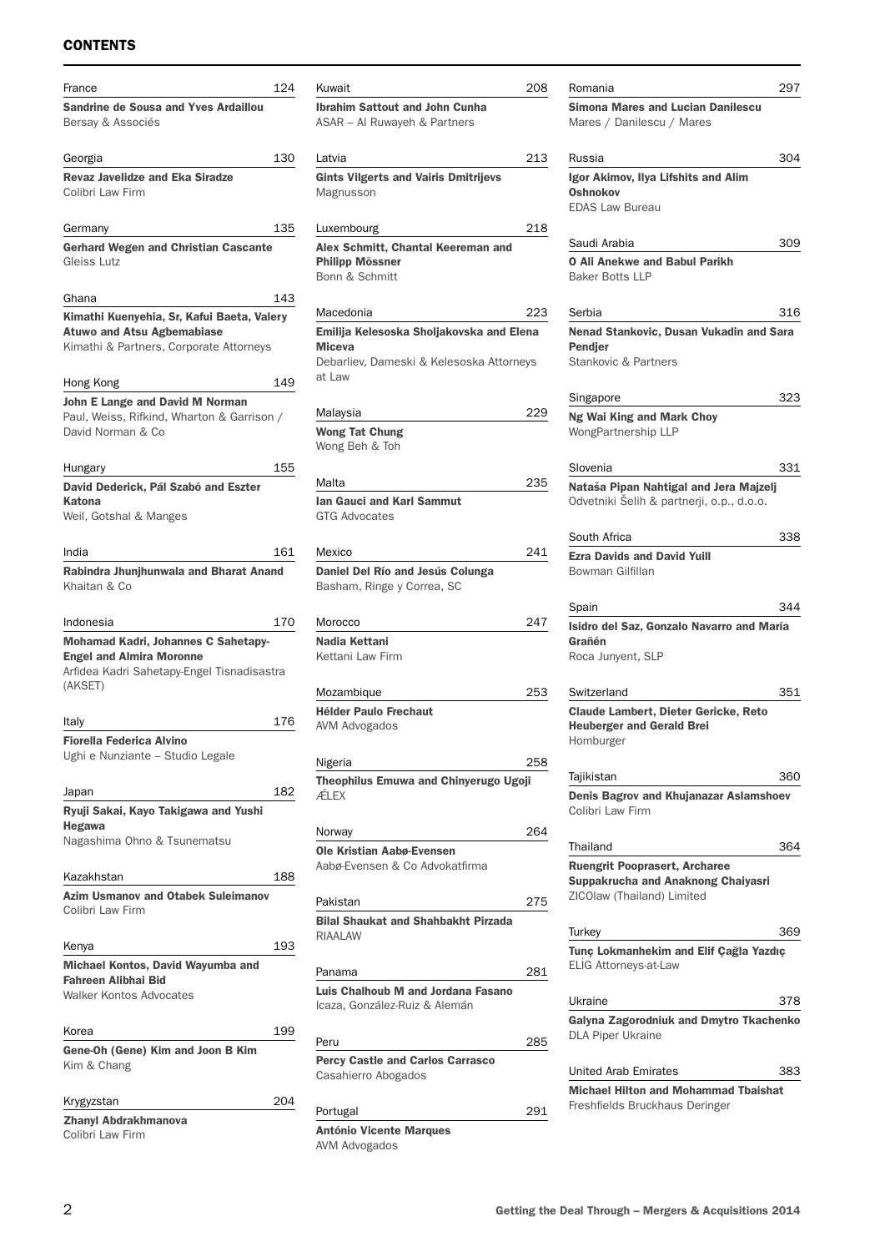### **CONTENTS**

| France                                                                                                                                 | 124 |
|----------------------------------------------------------------------------------------------------------------------------------------|-----|
| Sandrine de Sousa and Yves Ardaillou<br>Bersay & Associés                                                                              |     |
| Georgia                                                                                                                                | 130 |
| <b>Revaz Javelidze and Eka Siradze</b><br>Colibri Law Firm                                                                             |     |
| Germany                                                                                                                                | 135 |
| <b>Gerhard Wegen and Christian Cascante</b><br>Gleiss Lutz                                                                             |     |
| Ghana                                                                                                                                  | 143 |
| Kimathi Kuenyehia, Sr, Kafui Baeta, Valery<br><b>Atuwo and Atsu Agbemabiase</b><br>Kimathi & Partners, Corporate Attorneys             |     |
| Hong Kong                                                                                                                              | 149 |
| John E Lange and David M Norman<br>Paul, Weiss, Rifkind, Wharton & Garrison /<br>David Norman & Co                                     |     |
| Hungary                                                                                                                                | 155 |
| David Dederick, Pál Szabó and Eszter<br><b>Katona</b>                                                                                  |     |
| Weil, Gotshal & Manges                                                                                                                 |     |
| India                                                                                                                                  | 161 |
| Rabindra Jhunjhunwala and Bharat Anand                                                                                                 |     |
| Khaitan & Co                                                                                                                           |     |
| Indonesia                                                                                                                              | 170 |
| <b>Mohamad Kadri, Johannes C Sahetapy-</b><br><b>Engel and Almira Moronne</b><br>Arfidea Kadri Sahetapy-Engel Tisnadisastra<br>(AKSET) |     |
| Italy                                                                                                                                  | 176 |
| <b>Fiorella Federica Alvino</b>                                                                                                        |     |
| Ughi e Nunziante - Studio Legale                                                                                                       |     |
| Japan                                                                                                                                  | 182 |
| Ryuji Sakai, Kayo Takigawa and Yushi<br>Hegawa<br>Nagashima Ohno & Tsunematsu                                                          |     |
| Kazakhstan                                                                                                                             | 188 |
| <b>Azim Usmanov and Otabek Suleimanov</b><br>Colibri Law Firm                                                                          |     |
| Kenya                                                                                                                                  | 193 |
| Michael Kontos, David Wayumba and<br><b>Fahreen Alibhai Bid</b><br><b>Walker Kontos Advocates</b>                                      |     |
| Korea                                                                                                                                  | 199 |
| Gene-Oh (Gene) Kim and Joon B Kim<br>Kim & Chang                                                                                       |     |
| Krygyzstan                                                                                                                             | 204 |
| Zhanyl Abdrakhmanova<br>Colibri Law Firm                                                                                               |     |

| Kuwait                                      | 208 |
|---------------------------------------------|-----|
| <b>Ibrahim Sattout and John Cunha</b>       |     |
| ASAR - Al Ruwayeh & Partners                |     |
|                                             |     |
| Latvia                                      | 213 |
| <b>Gints Vilgerts and Vairis Dmitrijevs</b> |     |
| Magnusson                                   |     |
|                                             |     |
| Luxembourg                                  | 218 |
| Alex Schmitt, Chantal Keereman and          |     |
| <b>Philipp Mössner</b>                      |     |
| Bonn & Schmitt                              |     |
|                                             |     |
| Macedonia                                   | 223 |
| Emilija Kelesoska Sholjakovska and Elena    |     |
| Miceva                                      |     |
| Debarliev, Dameski & Kelesoska Attorneys    |     |
| at Law                                      |     |
|                                             |     |
| Malaysia                                    | 229 |
| <b>Wong Tat Chung</b>                       |     |
| Wong Beh & Toh                              |     |
|                                             |     |
| Malta                                       | 235 |
| <b>Ian Gauci and Karl Sammut</b>            |     |
| <b>GTG Advocates</b>                        |     |
|                                             |     |
| Mexico                                      | 241 |
| Daniel Del Río and Jesús Colunga            |     |
| Basham, Ringe y Correa, SC                  |     |
|                                             |     |
| Morocco                                     | 247 |
| Nadia Kettani                               |     |
| Kettani Law Firm                            |     |
|                                             |     |
| Mozambique                                  | 253 |
| <b>Hélder Paulo Frechaut</b>                |     |
| AVM Advogados                               |     |
|                                             |     |
| Nigeria                                     | 258 |
| Theophilus Emuwa and Chinyerugo Ugoji       |     |
| ÆLEX                                        |     |
|                                             |     |
| Norway                                      | 264 |
| <b>Ole Kristian Aabø-Evensen</b>            |     |
| Aabø-Evensen & Co Advokatfirma              |     |
|                                             |     |
| Pakistan                                    | 275 |
| <b>Bilal Shaukat and Shahbakht Pirzada</b>  |     |
| RIAALAW                                     |     |
|                                             |     |
| Panama                                      | 281 |
| Luis Chalhoub M and Jordana Fasano          |     |
| Icaza, González-Ruiz & Alemán               |     |
|                                             |     |
| Peru                                        | 285 |
|                                             |     |
| <b>Percy Castle and Carlos Carrasco</b>     |     |
| Casahierro Abogados                         |     |
|                                             |     |
| Portugal                                    | 291 |
| <b>António Vicente Marques</b>              |     |
| AVM Advogados                               |     |

| Romania                                                                                                         | 297 |
|-----------------------------------------------------------------------------------------------------------------|-----|
| <b>Simona Mares and Lucian Danilescu</b><br>Mares / Danilescu / Mares                                           |     |
| Russia                                                                                                          | 304 |
| Igor Akimov, Ilya Lifshits and Alim<br><b>Oshnokov</b><br><b>EDAS Law Bureau</b>                                |     |
| Saudi Arabia                                                                                                    | 309 |
| <b>O Ali Anekwe and Babul Parikh</b><br><b>Baker Botts LLP</b>                                                  |     |
| Serbia                                                                                                          | 316 |
| Nenad Stankovic, Dusan Vukadin and Sara<br><b>Pendjer</b><br><b>Stankovic &amp; Partners</b>                    |     |
| Singapore                                                                                                       | 323 |
| Ng Wai King and Mark Choy<br><b>WongPartnership LLP</b>                                                         |     |
| Slovenia                                                                                                        | 331 |
| Nataša Pipan Nahtigal and Jera Majzelj<br>Odvetniki Šelih & partnerji, o.p., d.o.o.                             |     |
| South Africa                                                                                                    | 338 |
| <b>Ezra Davids and David Yuill</b><br>Bowman Gilfillan                                                          |     |
| Spain                                                                                                           | 344 |
| Isidro del Saz, Gonzalo Navarro and María<br>Grañén<br>Roca Junyent, SLP                                        |     |
| Switzerland                                                                                                     | 351 |
| <b>Claude Lambert, Dieter Gericke, Reto</b><br><b>Heuberger and Gerald Brei</b><br>Homburger                    |     |
| Tajikistan                                                                                                      | 360 |
| Denis Bagrov and Khujanazar Aslamshoev<br>Colibri Law Firm                                                      |     |
| Thailand                                                                                                        | 364 |
| <b>Ruengrit Pooprasert, Archaree</b><br><b>Suppakrucha and Anaknong Chaiyasri</b><br>ZICOlaw (Thailand) Limited |     |
| Turkey                                                                                                          | 369 |
| Tunç Lokmanhekim and Elif Çağla Yazdıç<br><b>ELIG Attorneys-at-Law</b>                                          |     |
| Ukraine                                                                                                         | 378 |
| <b>Galyna Zagorodniuk and Dmytro Tkachenko</b><br><b>DLA Piper Ukraine</b>                                      |     |
| <b>United Arab Emirates</b>                                                                                     | 383 |
| <b>Michael Hilton and Mohammad Tbaishat</b><br>Freshfields Bruckhaus Deringer                                   |     |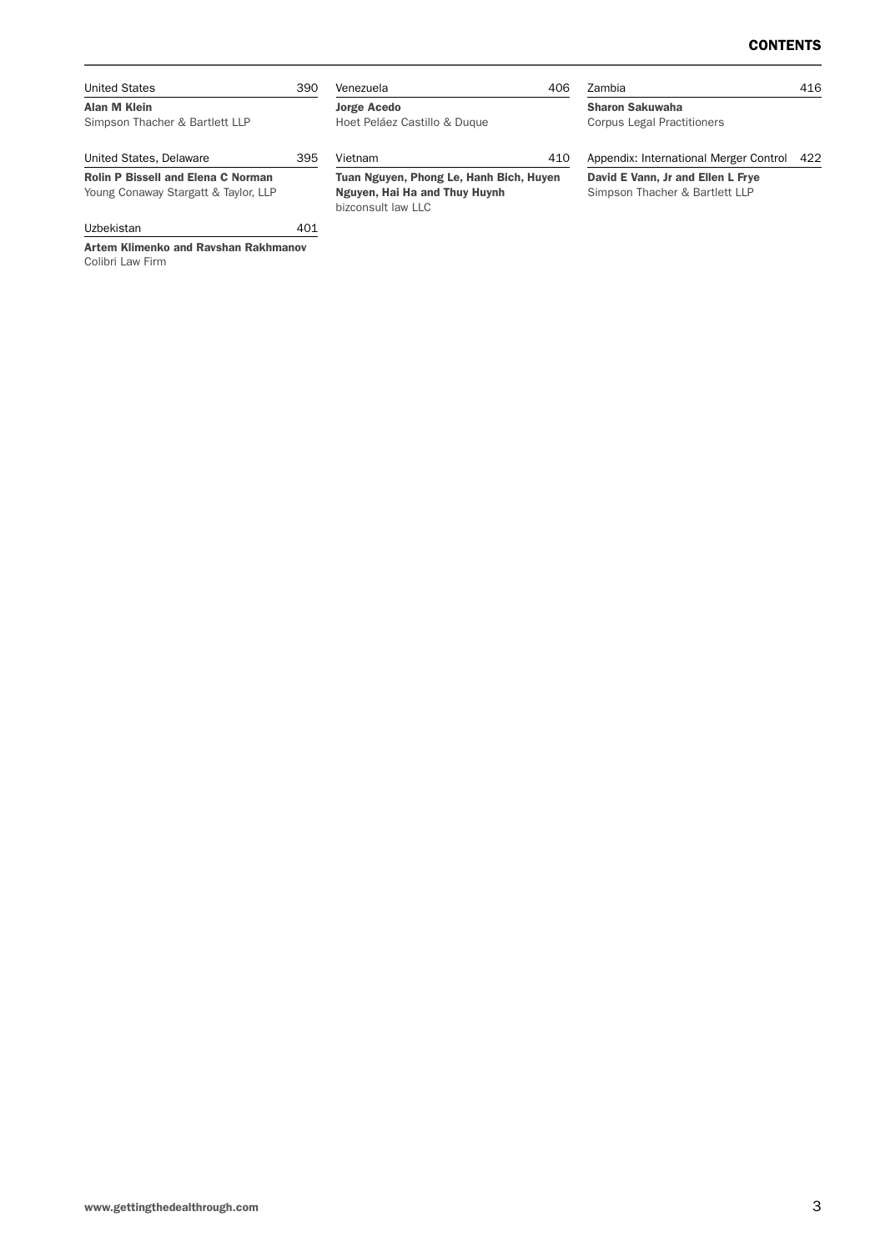| <b>United States</b>                                                              | 390 | Venezuela                                                                                      | 406 | Zambia                                                              | 416 |
|-----------------------------------------------------------------------------------|-----|------------------------------------------------------------------------------------------------|-----|---------------------------------------------------------------------|-----|
| Alan M Klein<br>Simpson Thacher & Bartlett LLP                                    |     | <b>Jorge Acedo</b><br>Hoet Peláez Castillo & Duque                                             |     | <b>Sharon Sakuwaha</b><br><b>Corpus Legal Practitioners</b>         |     |
| United States, Delaware                                                           | 395 | Vietnam                                                                                        | 410 | Appendix: International Merger Control                              | 422 |
| <b>Rolin P Bissell and Elena C Norman</b><br>Young Conaway Stargatt & Taylor, LLP |     | Tuan Nguyen, Phong Le, Hanh Bich, Huyen<br>Nguyen, Hai Ha and Thuy Huynh<br>bizconsult law LLC |     | David E Vann, Jr and Ellen L Frye<br>Simpson Thacher & Bartlett LLP |     |
| Uzbekistan                                                                        | 401 |                                                                                                |     |                                                                     |     |

Artem Klimenko and Ravshan Rakhmanov Colibri Law Firm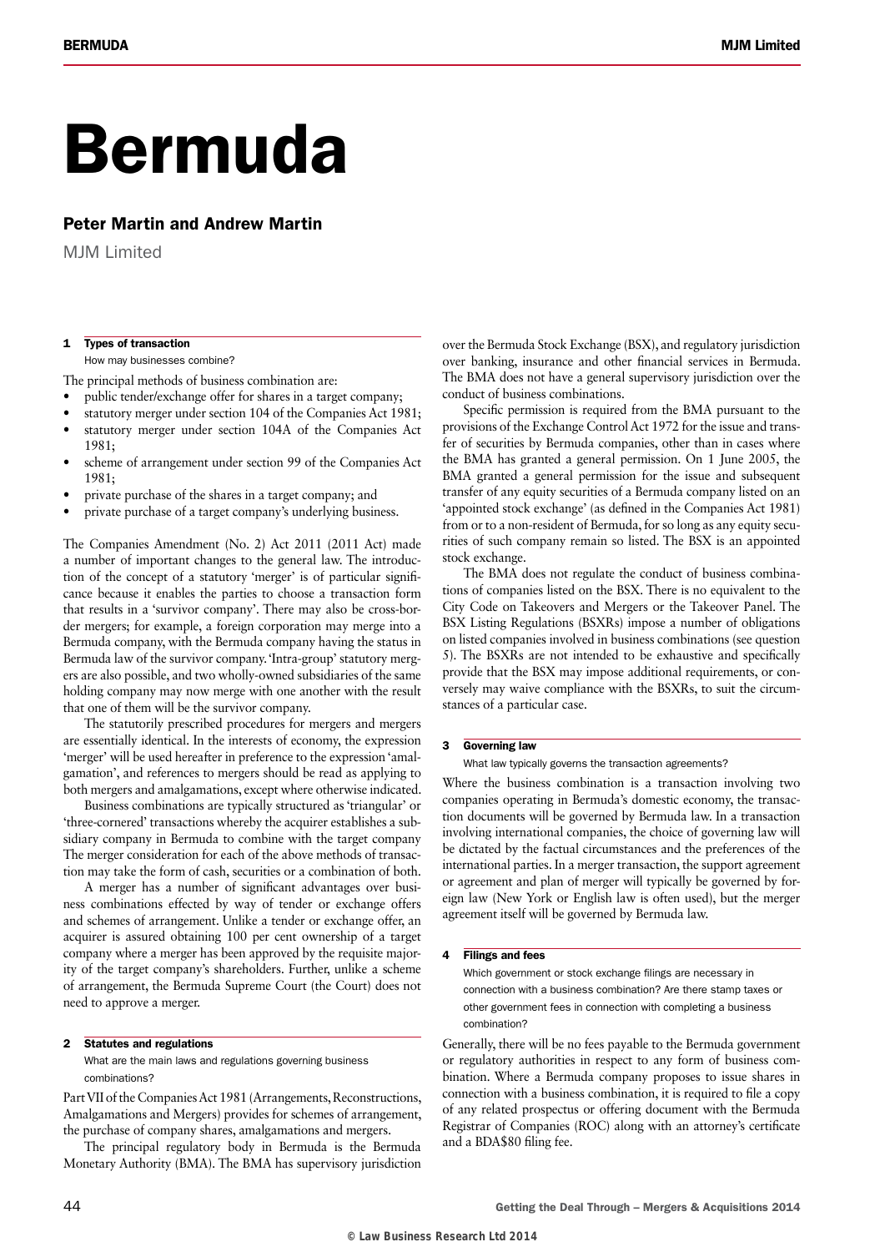# Bermuda

#### Peter Martin and Andrew Martin

MIM Limited

#### 1 Types of transaction

How may businesses combine?

The principal methods of business combination are:

- public tender/exchange offer for shares in a target company;
- statutory merger under section 104 of the Companies Act 1981;
- statutory merger under section 104A of the Companies Act 1981;
- scheme of arrangement under section 99 of the Companies Act 1981;
- private purchase of the shares in a target company; and
- private purchase of a target company's underlying business.

The Companies Amendment (No. 2) Act 2011 (2011 Act) made a number of important changes to the general law. The introduction of the concept of a statutory 'merger' is of particular significance because it enables the parties to choose a transaction form that results in a 'survivor company'. There may also be cross-border mergers; for example, a foreign corporation may merge into a Bermuda company, with the Bermuda company having the status in Bermuda law of the survivor company. 'Intra-group' statutory mergers are also possible, and two wholly-owned subsidiaries of the same holding company may now merge with one another with the result that one of them will be the survivor company.

The statutorily prescribed procedures for mergers and mergers are essentially identical. In the interests of economy, the expression 'merger' will be used hereafter in preference to the expression 'amalgamation', and references to mergers should be read as applying to both mergers and amalgamations, except where otherwise indicated.

Business combinations are typically structured as 'triangular' or 'three-cornered' transactions whereby the acquirer establishes a subsidiary company in Bermuda to combine with the target company The merger consideration for each of the above methods of transaction may take the form of cash, securities or a combination of both.

A merger has a number of significant advantages over business combinations effected by way of tender or exchange offers and schemes of arrangement. Unlike a tender or exchange offer, an acquirer is assured obtaining 100 per cent ownership of a target company where a merger has been approved by the requisite majority of the target company's shareholders. Further, unlike a scheme of arrangement, the Bermuda Supreme Court (the Court) does not need to approve a merger.

#### 2 Statutes and regulations

What are the main laws and regulations governing business combinations?

Part VII of the Companies Act 1981 (Arrangements, Reconstructions, Amalgamations and Mergers) provides for schemes of arrangement, the purchase of company shares, amalgamations and mergers.

The principal regulatory body in Bermuda is the Bermuda Monetary Authority (BMA). The BMA has supervisory jurisdiction over the Bermuda Stock Exchange (BSX), and regulatory jurisdiction over banking, insurance and other financial services in Bermuda. The BMA does not have a general supervisory jurisdiction over the conduct of business combinations.

Specific permission is required from the BMA pursuant to the provisions of the Exchange Control Act 1972 for the issue and transfer of securities by Bermuda companies, other than in cases where the BMA has granted a general permission. On 1 June 2005, the BMA granted a general permission for the issue and subsequent transfer of any equity securities of a Bermuda company listed on an 'appointed stock exchange' (as defined in the Companies Act 1981) from or to a non-resident of Bermuda, for so long as any equity securities of such company remain so listed. The BSX is an appointed stock exchange.

The BMA does not regulate the conduct of business combinations of companies listed on the BSX. There is no equivalent to the City Code on Takeovers and Mergers or the Takeover Panel. The BSX Listing Regulations (BSXRs) impose a number of obligations on listed companies involved in business combinations (see question 5). The BSXRs are not intended to be exhaustive and specifically provide that the BSX may impose additional requirements, or conversely may waive compliance with the BSXRs, to suit the circumstances of a particular case.

#### 3 Governing law

What law typically governs the transaction agreements?

Where the business combination is a transaction involving two companies operating in Bermuda's domestic economy, the transaction documents will be governed by Bermuda law. In a transaction involving international companies, the choice of governing law will be dictated by the factual circumstances and the preferences of the international parties. In a merger transaction, the support agreement or agreement and plan of merger will typically be governed by foreign law (New York or English law is often used), but the merger agreement itself will be governed by Bermuda law.

#### 4 Filings and fees

Which government or stock exchange filings are necessary in connection with a business combination? Are there stamp taxes or other government fees in connection with completing a business combination?

Generally, there will be no fees payable to the Bermuda government or regulatory authorities in respect to any form of business combination. Where a Bermuda company proposes to issue shares in connection with a business combination, it is required to file a copy of any related prospectus or offering document with the Bermuda Registrar of Companies (ROC) along with an attorney's certificate and a BDA\$80 filing fee.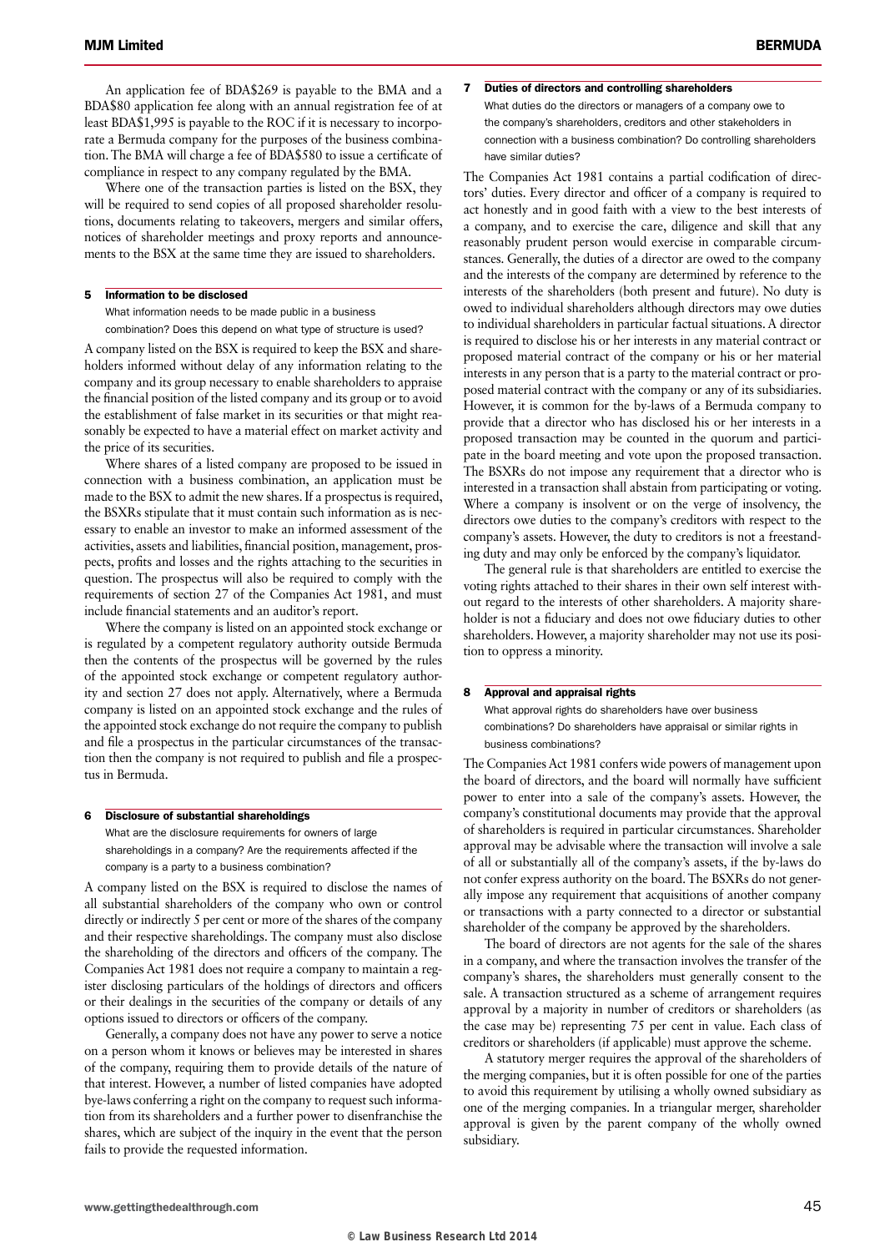An application fee of BDA\$269 is payable to the BMA and a BDA\$80 application fee along with an annual registration fee of at least BDA\$1,995 is payable to the ROC if it is necessary to incorporate a Bermuda company for the purposes of the business combination. The BMA will charge a fee of BDA\$580 to issue a certificate of compliance in respect to any company regulated by the BMA.

Where one of the transaction parties is listed on the BSX, they will be required to send copies of all proposed shareholder resolutions, documents relating to takeovers, mergers and similar offers, notices of shareholder meetings and proxy reports and announcements to the BSX at the same time they are issued to shareholders.

#### 5 Information to be disclosed

What information needs to be made public in a business combination? Does this depend on what type of structure is used?

A company listed on the BSX is required to keep the BSX and shareholders informed without delay of any information relating to the company and its group necessary to enable shareholders to appraise the financial position of the listed company and its group or to avoid the establishment of false market in its securities or that might reasonably be expected to have a material effect on market activity and the price of its securities.

Where shares of a listed company are proposed to be issued in connection with a business combination, an application must be made to the BSX to admit the new shares. If a prospectus is required, the BSXRs stipulate that it must contain such information as is necessary to enable an investor to make an informed assessment of the activities, assets and liabilities, financial position, management, prospects, profits and losses and the rights attaching to the securities in question. The prospectus will also be required to comply with the requirements of section 27 of the Companies Act 1981, and must include financial statements and an auditor's report.

Where the company is listed on an appointed stock exchange or is regulated by a competent regulatory authority outside Bermuda then the contents of the prospectus will be governed by the rules of the appointed stock exchange or competent regulatory authority and section 27 does not apply. Alternatively, where a Bermuda company is listed on an appointed stock exchange and the rules of the appointed stock exchange do not require the company to publish and file a prospectus in the particular circumstances of the transaction then the company is not required to publish and file a prospectus in Bermuda.

#### 6 Disclosure of substantial shareholdings

What are the disclosure requirements for owners of large shareholdings in a company? Are the requirements affected if the company is a party to a business combination?

A company listed on the BSX is required to disclose the names of all substantial shareholders of the company who own or control directly or indirectly 5 per cent or more of the shares of the company and their respective shareholdings. The company must also disclose the shareholding of the directors and officers of the company. The Companies Act 1981 does not require a company to maintain a register disclosing particulars of the holdings of directors and officers or their dealings in the securities of the company or details of any options issued to directors or officers of the company.

Generally, a company does not have any power to serve a notice on a person whom it knows or believes may be interested in shares of the company, requiring them to provide details of the nature of that interest. However, a number of listed companies have adopted bye-laws conferring a right on the company to request such information from its shareholders and a further power to disenfranchise the shares, which are subject of the inquiry in the event that the person fails to provide the requested information.

#### 7 Duties of directors and controlling shareholders What duties do the directors or managers of a company owe to the company's shareholders, creditors and other stakeholders in connection with a business combination? Do controlling shareholders

have similar duties? The Companies Act 1981 contains a partial codification of directors' duties. Every director and officer of a company is required to act honestly and in good faith with a view to the best interests of a company, and to exercise the care, diligence and skill that any reasonably prudent person would exercise in comparable circumstances. Generally, the duties of a director are owed to the company and the interests of the company are determined by reference to the interests of the shareholders (both present and future). No duty is owed to individual shareholders although directors may owe duties to individual shareholders in particular factual situations. A director is required to disclose his or her interests in any material contract or proposed material contract of the company or his or her material interests in any person that is a party to the material contract or proposed material contract with the company or any of its subsidiaries. However, it is common for the by-laws of a Bermuda company to provide that a director who has disclosed his or her interests in a proposed transaction may be counted in the quorum and participate in the board meeting and vote upon the proposed transaction. The BSXRs do not impose any requirement that a director who is interested in a transaction shall abstain from participating or voting. Where a company is insolvent or on the verge of insolvency, the directors owe duties to the company's creditors with respect to the company's assets. However, the duty to creditors is not a freestanding duty and may only be enforced by the company's liquidator.

The general rule is that shareholders are entitled to exercise the voting rights attached to their shares in their own self interest without regard to the interests of other shareholders. A majority shareholder is not a fiduciary and does not owe fiduciary duties to other shareholders. However, a majority shareholder may not use its position to oppress a minority.

#### 8 Approval and appraisal rights

What approval rights do shareholders have over business combinations? Do shareholders have appraisal or similar rights in business combinations?

The Companies Act 1981 confers wide powers of management upon the board of directors, and the board will normally have sufficient power to enter into a sale of the company's assets. However, the company's constitutional documents may provide that the approval of shareholders is required in particular circumstances. Shareholder approval may be advisable where the transaction will involve a sale of all or substantially all of the company's assets, if the by-laws do not confer express authority on the board. The BSXRs do not generally impose any requirement that acquisitions of another company or transactions with a party connected to a director or substantial shareholder of the company be approved by the shareholders.

The board of directors are not agents for the sale of the shares in a company, and where the transaction involves the transfer of the company's shares, the shareholders must generally consent to the sale. A transaction structured as a scheme of arrangement requires approval by a majority in number of creditors or shareholders (as the case may be) representing 75 per cent in value. Each class of creditors or shareholders (if applicable) must approve the scheme.

A statutory merger requires the approval of the shareholders of the merging companies, but it is often possible for one of the parties to avoid this requirement by utilising a wholly owned subsidiary as one of the merging companies. In a triangular merger, shareholder approval is given by the parent company of the wholly owned subsidiary.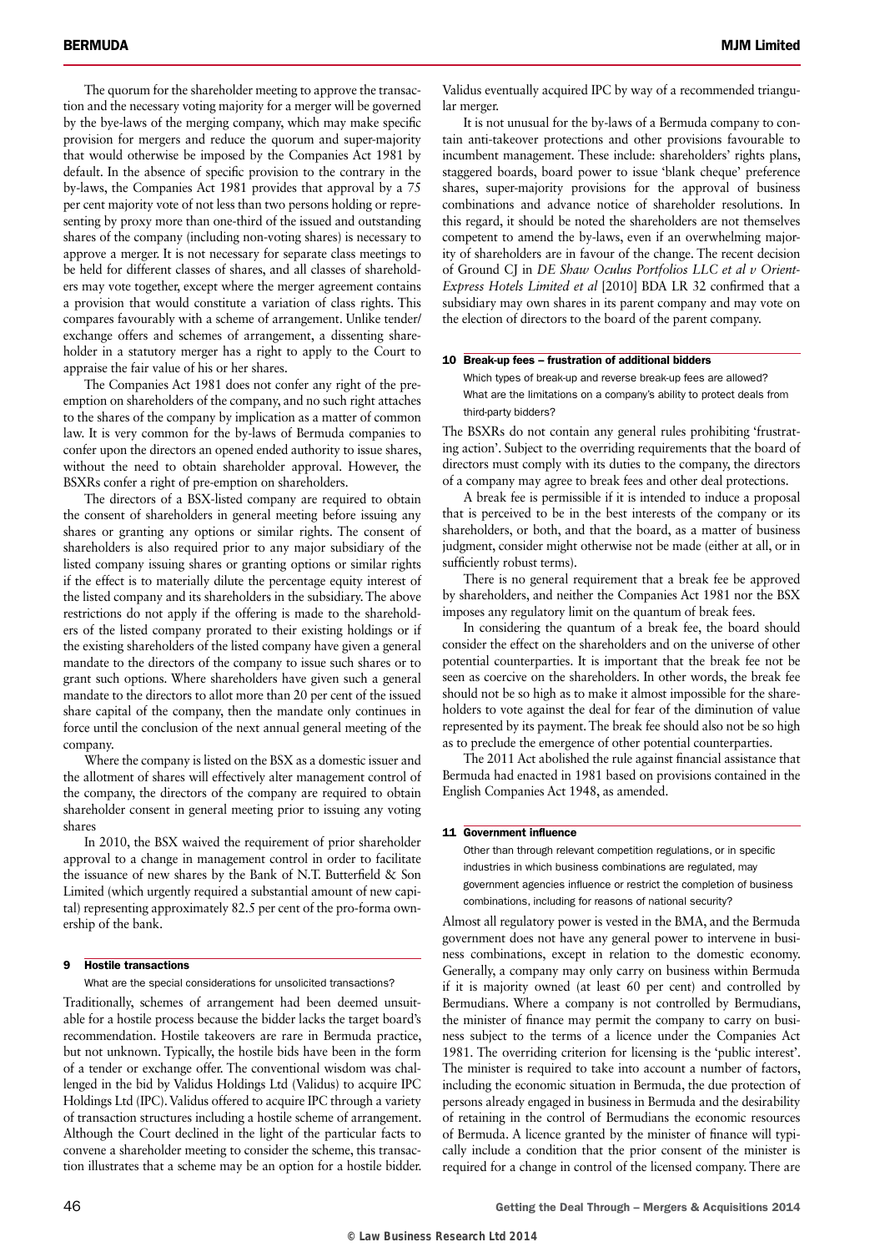The quorum for the shareholder meeting to approve the transaction and the necessary voting majority for a merger will be governed by the bye-laws of the merging company, which may make specific provision for mergers and reduce the quorum and super-majority that would otherwise be imposed by the Companies Act 1981 by default. In the absence of specific provision to the contrary in the by-laws, the Companies Act 1981 provides that approval by a 75 per cent majority vote of not less than two persons holding or representing by proxy more than one-third of the issued and outstanding shares of the company (including non-voting shares) is necessary to approve a merger. It is not necessary for separate class meetings to be held for different classes of shares, and all classes of shareholders may vote together, except where the merger agreement contains a provision that would constitute a variation of class rights. This compares favourably with a scheme of arrangement. Unlike tender/ exchange offers and schemes of arrangement, a dissenting shareholder in a statutory merger has a right to apply to the Court to appraise the fair value of his or her shares.

The Companies Act 1981 does not confer any right of the preemption on shareholders of the company, and no such right attaches to the shares of the company by implication as a matter of common law. It is very common for the by-laws of Bermuda companies to confer upon the directors an opened ended authority to issue shares, without the need to obtain shareholder approval. However, the BSXRs confer a right of pre-emption on shareholders.

The directors of a BSX-listed company are required to obtain the consent of shareholders in general meeting before issuing any shares or granting any options or similar rights. The consent of shareholders is also required prior to any major subsidiary of the listed company issuing shares or granting options or similar rights if the effect is to materially dilute the percentage equity interest of the listed company and its shareholders in the subsidiary. The above restrictions do not apply if the offering is made to the shareholders of the listed company prorated to their existing holdings or if the existing shareholders of the listed company have given a general mandate to the directors of the company to issue such shares or to grant such options. Where shareholders have given such a general mandate to the directors to allot more than 20 per cent of the issued share capital of the company, then the mandate only continues in force until the conclusion of the next annual general meeting of the company.

Where the company is listed on the BSX as a domestic issuer and the allotment of shares will effectively alter management control of the company, the directors of the company are required to obtain shareholder consent in general meeting prior to issuing any voting shares

In 2010, the BSX waived the requirement of prior shareholder approval to a change in management control in order to facilitate the issuance of new shares by the Bank of N.T. Butterfield & Son Limited (which urgently required a substantial amount of new capital) representing approximately 82.5 per cent of the pro-forma ownership of the bank.

#### 9 Hostile transactions

What are the special considerations for unsolicited transactions?

Traditionally, schemes of arrangement had been deemed unsuitable for a hostile process because the bidder lacks the target board's recommendation. Hostile takeovers are rare in Bermuda practice, but not unknown. Typically, the hostile bids have been in the form of a tender or exchange offer. The conventional wisdom was challenged in the bid by Validus Holdings Ltd (Validus) to acquire IPC Holdings Ltd (IPC). Validus offered to acquire IPC through a variety of transaction structures including a hostile scheme of arrangement. Although the Court declined in the light of the particular facts to convene a shareholder meeting to consider the scheme, this transaction illustrates that a scheme may be an option for a hostile bidder.

Validus eventually acquired IPC by way of a recommended triangular merger.

It is not unusual for the by-laws of a Bermuda company to contain anti-takeover protections and other provisions favourable to incumbent management. These include: shareholders' rights plans, staggered boards, board power to issue 'blank cheque' preference shares, super-majority provisions for the approval of business combinations and advance notice of shareholder resolutions. In this regard, it should be noted the shareholders are not themselves competent to amend the by-laws, even if an overwhelming majority of shareholders are in favour of the change. The recent decision of Ground CJ in *DE Shaw Oculus Portfolios LLC et al v Orient-Express Hotels Limited et al* [2010] BDA LR 32 confirmed that a subsidiary may own shares in its parent company and may vote on the election of directors to the board of the parent company.

#### 10 Break-up fees – frustration of additional bidders

Which types of break-up and reverse break-up fees are allowed? What are the limitations on a company's ability to protect deals from third-party bidders?

The BSXRs do not contain any general rules prohibiting 'frustrating action'. Subject to the overriding requirements that the board of directors must comply with its duties to the company, the directors of a company may agree to break fees and other deal protections.

A break fee is permissible if it is intended to induce a proposal that is perceived to be in the best interests of the company or its shareholders, or both, and that the board, as a matter of business judgment, consider might otherwise not be made (either at all, or in sufficiently robust terms).

There is no general requirement that a break fee be approved by shareholders, and neither the Companies Act 1981 nor the BSX imposes any regulatory limit on the quantum of break fees.

In considering the quantum of a break fee, the board should consider the effect on the shareholders and on the universe of other potential counterparties. It is important that the break fee not be seen as coercive on the shareholders. In other words, the break fee should not be so high as to make it almost impossible for the shareholders to vote against the deal for fear of the diminution of value represented by its payment. The break fee should also not be so high as to preclude the emergence of other potential counterparties.

The 2011 Act abolished the rule against financial assistance that Bermuda had enacted in 1981 based on provisions contained in the English Companies Act 1948, as amended.

#### 11 Government influence

Other than through relevant competition regulations, or in specific industries in which business combinations are regulated, may government agencies influence or restrict the completion of business combinations, including for reasons of national security?

Almost all regulatory power is vested in the BMA, and the Bermuda government does not have any general power to intervene in business combinations, except in relation to the domestic economy. Generally, a company may only carry on business within Bermuda if it is majority owned (at least 60 per cent) and controlled by Bermudians. Where a company is not controlled by Bermudians, the minister of finance may permit the company to carry on business subject to the terms of a licence under the Companies Act 1981. The overriding criterion for licensing is the 'public interest'. The minister is required to take into account a number of factors, including the economic situation in Bermuda, the due protection of persons already engaged in business in Bermuda and the desirability of retaining in the control of Bermudians the economic resources of Bermuda. A licence granted by the minister of finance will typically include a condition that the prior consent of the minister is required for a change in control of the licensed company. There are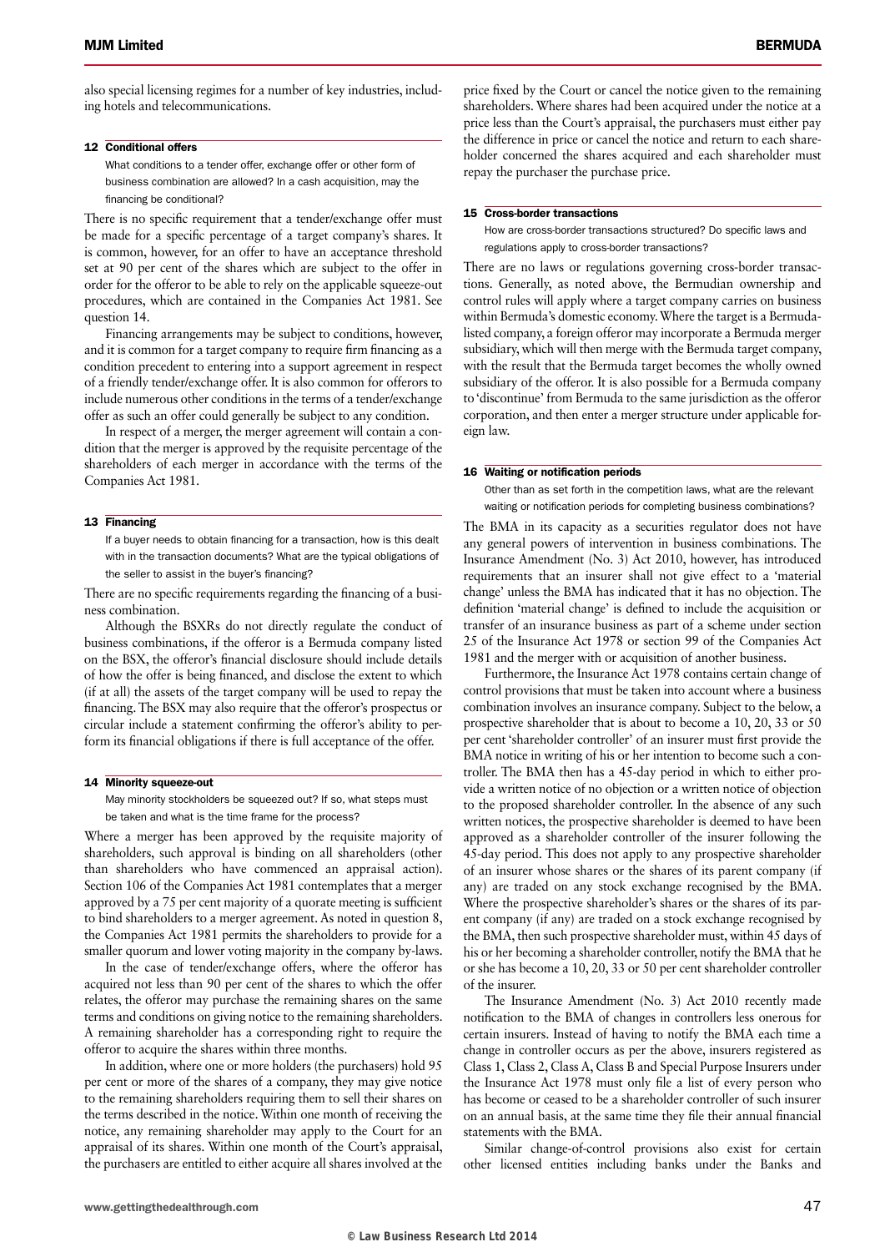also special licensing regimes for a number of key industries, including hotels and telecommunications.

#### 12 Conditional offers

What conditions to a tender offer, exchange offer or other form of business combination are allowed? In a cash acquisition, may the financing be conditional?

There is no specific requirement that a tender/exchange offer must be made for a specific percentage of a target company's shares. It is common, however, for an offer to have an acceptance threshold set at 90 per cent of the shares which are subject to the offer in order for the offeror to be able to rely on the applicable squeeze-out procedures, which are contained in the Companies Act 1981. See question 14.

Financing arrangements may be subject to conditions, however, and it is common for a target company to require firm financing as a condition precedent to entering into a support agreement in respect of a friendly tender/exchange offer. It is also common for offerors to include numerous other conditions in the terms of a tender/exchange offer as such an offer could generally be subject to any condition.

In respect of a merger, the merger agreement will contain a condition that the merger is approved by the requisite percentage of the shareholders of each merger in accordance with the terms of the Companies Act 1981.

#### 13 Financing

If a buyer needs to obtain financing for a transaction, how is this dealt with in the transaction documents? What are the typical obligations of the seller to assist in the buyer's financing?

There are no specific requirements regarding the financing of a business combination.

Although the BSXRs do not directly regulate the conduct of business combinations, if the offeror is a Bermuda company listed on the BSX, the offeror's financial disclosure should include details of how the offer is being financed, and disclose the extent to which (if at all) the assets of the target company will be used to repay the financing. The BSX may also require that the offeror's prospectus or circular include a statement confirming the offeror's ability to perform its financial obligations if there is full acceptance of the offer.

#### 14 Minority squeeze-out

May minority stockholders be squeezed out? If so, what steps must be taken and what is the time frame for the process?

Where a merger has been approved by the requisite majority of shareholders, such approval is binding on all shareholders (other than shareholders who have commenced an appraisal action). Section 106 of the Companies Act 1981 contemplates that a merger approved by a 75 per cent majority of a quorate meeting is sufficient to bind shareholders to a merger agreement. As noted in question 8, the Companies Act 1981 permits the shareholders to provide for a smaller quorum and lower voting majority in the company by-laws.

In the case of tender/exchange offers, where the offeror has acquired not less than 90 per cent of the shares to which the offer relates, the offeror may purchase the remaining shares on the same terms and conditions on giving notice to the remaining shareholders. A remaining shareholder has a corresponding right to require the offeror to acquire the shares within three months.

In addition, where one or more holders (the purchasers) hold 95 per cent or more of the shares of a company, they may give notice to the remaining shareholders requiring them to sell their shares on the terms described in the notice. Within one month of receiving the notice, any remaining shareholder may apply to the Court for an appraisal of its shares. Within one month of the Court's appraisal, the purchasers are entitled to either acquire all shares involved at the

price fixed by the Court or cancel the notice given to the remaining shareholders. Where shares had been acquired under the notice at a price less than the Court's appraisal, the purchasers must either pay the difference in price or cancel the notice and return to each shareholder concerned the shares acquired and each shareholder must repay the purchaser the purchase price.

#### 15 Cross-border transactions

How are cross-border transactions structured? Do specific laws and regulations apply to cross-border transactions?

There are no laws or regulations governing cross-border transactions. Generally, as noted above, the Bermudian ownership and control rules will apply where a target company carries on business within Bermuda's domestic economy. Where the target is a Bermudalisted company, a foreign offeror may incorporate a Bermuda merger subsidiary, which will then merge with the Bermuda target company, with the result that the Bermuda target becomes the wholly owned subsidiary of the offeror. It is also possible for a Bermuda company to 'discontinue' from Bermuda to the same jurisdiction as the offeror corporation, and then enter a merger structure under applicable foreign law.

#### 16 Waiting or notification periods

Other than as set forth in the competition laws, what are the relevant waiting or notification periods for completing business combinations?

The BMA in its capacity as a securities regulator does not have any general powers of intervention in business combinations. The Insurance Amendment (No. 3) Act 2010, however, has introduced requirements that an insurer shall not give effect to a 'material change' unless the BMA has indicated that it has no objection. The definition 'material change' is defined to include the acquisition or transfer of an insurance business as part of a scheme under section 25 of the Insurance Act 1978 or section 99 of the Companies Act 1981 and the merger with or acquisition of another business.

Furthermore, the Insurance Act 1978 contains certain change of control provisions that must be taken into account where a business combination involves an insurance company. Subject to the below, a prospective shareholder that is about to become a 10, 20, 33 or 50 per cent 'shareholder controller' of an insurer must first provide the BMA notice in writing of his or her intention to become such a controller. The BMA then has a 45-day period in which to either provide a written notice of no objection or a written notice of objection to the proposed shareholder controller. In the absence of any such written notices, the prospective shareholder is deemed to have been approved as a shareholder controller of the insurer following the 45-day period. This does not apply to any prospective shareholder of an insurer whose shares or the shares of its parent company (if any) are traded on any stock exchange recognised by the BMA. Where the prospective shareholder's shares or the shares of its parent company (if any) are traded on a stock exchange recognised by the BMA, then such prospective shareholder must, within 45 days of his or her becoming a shareholder controller, notify the BMA that he or she has become a 10, 20, 33 or 50 per cent shareholder controller of the insurer.

The Insurance Amendment (No. 3) Act 2010 recently made notification to the BMA of changes in controllers less onerous for certain insurers. Instead of having to notify the BMA each time a change in controller occurs as per the above, insurers registered as Class 1, Class 2, Class A, Class B and Special Purpose Insurers under the Insurance Act 1978 must only file a list of every person who has become or ceased to be a shareholder controller of such insurer on an annual basis, at the same time they file their annual financial statements with the BMA.

Similar change-of-control provisions also exist for certain other licensed entities including banks under the Banks and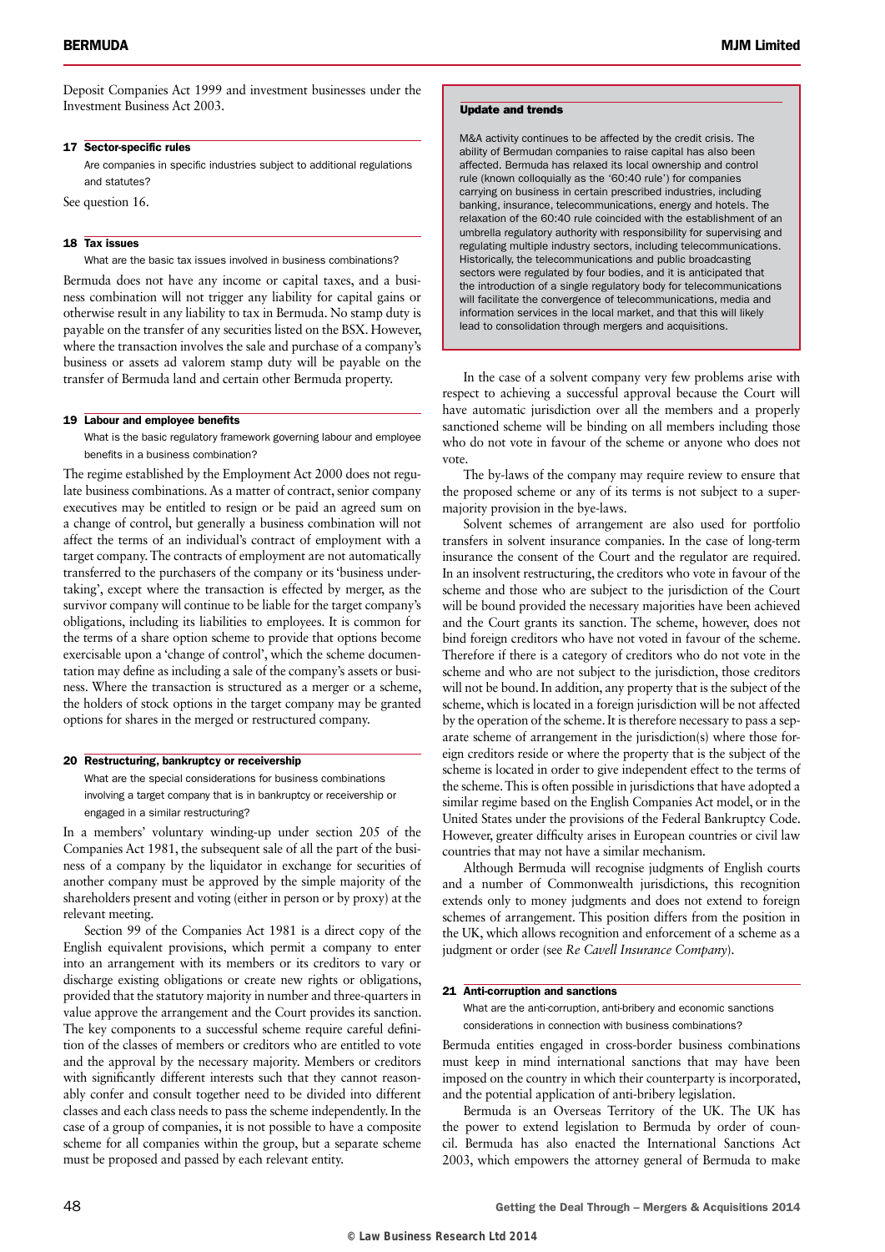Deposit Companies Act 1999 and investment businesses under the Investment Business Act 2003.

#### 17 Sector-specific rules

Are companies in specific industries subject to additional regulations and statutes?

See question 16.

#### 18 Tax issues

What are the basic tax issues involved in business combinations?

Bermuda does not have any income or capital taxes, and a business combination will not trigger any liability for capital gains or otherwise result in any liability to tax in Bermuda. No stamp duty is payable on the transfer of any securities listed on the BSX. However, where the transaction involves the sale and purchase of a company's business or assets ad valorem stamp duty will be payable on the transfer of Bermuda land and certain other Bermuda property.

#### 19 Labour and employee benefits

What is the basic regulatory framework governing labour and employee benefits in a business combination?

The regime established by the Employment Act 2000 does not regulate business combinations. As a matter of contract, senior company executives may be entitled to resign or be paid an agreed sum on a change of control, but generally a business combination will not affect the terms of an individual's contract of employment with a target company. The contracts of employment are not automatically transferred to the purchasers of the company or its 'business undertaking', except where the transaction is effected by merger, as the survivor company will continue to be liable for the target company's obligations, including its liabilities to employees. It is common for the terms of a share option scheme to provide that options become exercisable upon a 'change of control', which the scheme documentation may define as including a sale of the company's assets or business. Where the transaction is structured as a merger or a scheme, the holders of stock options in the target company may be granted options for shares in the merged or restructured company.

#### 20 Restructuring, bankruptcy or receivership

What are the special considerations for business combinations involving a target company that is in bankruptcy or receivership or engaged in a similar restructuring?

In a members' voluntary winding-up under section 205 of the Companies Act 1981, the subsequent sale of all the part of the business of a company by the liquidator in exchange for securities of another company must be approved by the simple majority of the shareholders present and voting (either in person or by proxy) at the relevant meeting.

Section 99 of the Companies Act 1981 is a direct copy of the English equivalent provisions, which permit a company to enter into an arrangement with its members or its creditors to vary or discharge existing obligations or create new rights or obligations, provided that the statutory majority in number and three-quarters in value approve the arrangement and the Court provides its sanction. The key components to a successful scheme require careful definition of the classes of members or creditors who are entitled to vote and the approval by the necessary majority. Members or creditors with significantly different interests such that they cannot reasonably confer and consult together need to be divided into different classes and each class needs to pass the scheme independently. In the case of a group of companies, it is not possible to have a composite scheme for all companies within the group, but a separate scheme must be proposed and passed by each relevant entity.

#### Update and trends

M&A activity continues to be affected by the credit crisis. The ability of Bermudan companies to raise capital has also been affected. Bermuda has relaxed its local ownership and control rule (known colloquially as the '60:40 rule') for companies carrying on business in certain prescribed industries, including banking, insurance, telecommunications, energy and hotels. The relaxation of the 60:40 rule coincided with the establishment of an umbrella regulatory authority with responsibility for supervising and regulating multiple industry sectors, including telecommunications. Historically, the telecommunications and public broadcasting sectors were regulated by four bodies, and it is anticipated that the introduction of a single regulatory body for telecommunications will facilitate the convergence of telecommunications, media and information services in the local market, and that this will likely lead to consolidation through mergers and acquisitions.

In the case of a solvent company very few problems arise with respect to achieving a successful approval because the Court will have automatic jurisdiction over all the members and a properly sanctioned scheme will be binding on all members including those who do not vote in favour of the scheme or anyone who does not vote.

The by-laws of the company may require review to ensure that the proposed scheme or any of its terms is not subject to a supermajority provision in the bye-laws.

Solvent schemes of arrangement are also used for portfolio transfers in solvent insurance companies. In the case of long-term insurance the consent of the Court and the regulator are required. In an insolvent restructuring, the creditors who vote in favour of the scheme and those who are subject to the jurisdiction of the Court will be bound provided the necessary majorities have been achieved and the Court grants its sanction. The scheme, however, does not bind foreign creditors who have not voted in favour of the scheme. Therefore if there is a category of creditors who do not vote in the scheme and who are not subject to the jurisdiction, those creditors will not be bound. In addition, any property that is the subject of the scheme, which is located in a foreign jurisdiction will be not affected by the operation of the scheme. It is therefore necessary to pass a separate scheme of arrangement in the jurisdiction(s) where those foreign creditors reside or where the property that is the subject of the scheme is located in order to give independent effect to the terms of the scheme. This is often possible in jurisdictions that have adopted a similar regime based on the English Companies Act model, or in the United States under the provisions of the Federal Bankruptcy Code. However, greater difficulty arises in European countries or civil law countries that may not have a similar mechanism.

Although Bermuda will recognise judgments of English courts and a number of Commonwealth jurisdictions, this recognition extends only to money judgments and does not extend to foreign schemes of arrangement. This position differs from the position in the UK, which allows recognition and enforcement of a scheme as a judgment or order (see *Re Cavell Insurance Company*).

#### 21 Anti-corruption and sanctions

What are the anti-corruption, anti-bribery and economic sanctions considerations in connection with business combinations?

Bermuda entities engaged in cross-border business combinations must keep in mind international sanctions that may have been imposed on the country in which their counterparty is incorporated, and the potential application of anti-bribery legislation.

Bermuda is an Overseas Territory of the UK. The UK has the power to extend legislation to Bermuda by order of council. Bermuda has also enacted the International Sanctions Act 2003, which empowers the attorney general of Bermuda to make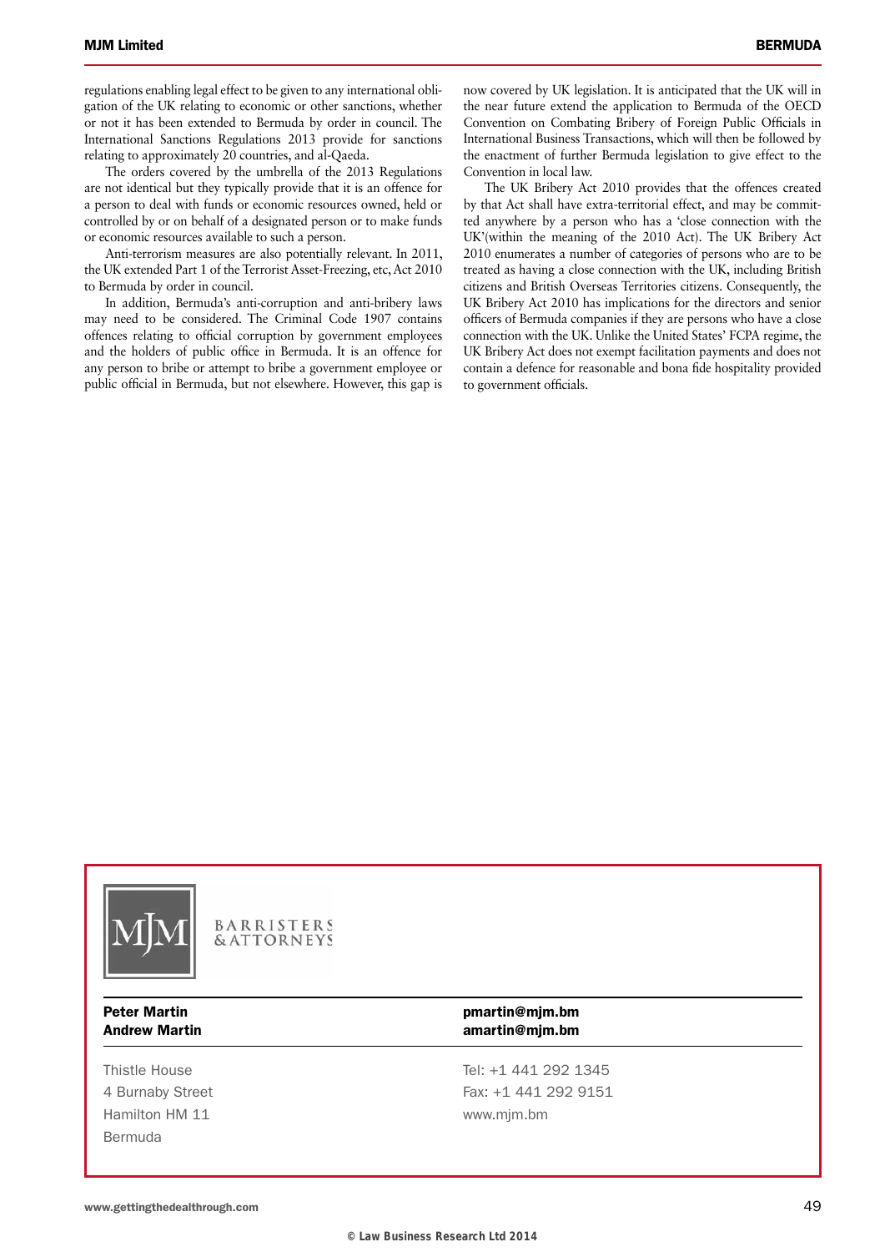regulations enabling legal effect to be given to any international obligation of the UK relating to economic or other sanctions, whether or not it has been extended to Bermuda by order in council. The International Sanctions Regulations 2013 provide for sanctions relating to approximately 20 countries, and al-Qaeda.

The orders covered by the umbrella of the 2013 Regulations are not identical but they typically provide that it is an offence for a person to deal with funds or economic resources owned, held or controlled by or on behalf of a designated person or to make funds or economic resources available to such a person.

Anti-terrorism measures are also potentially relevant. In 2011, the UK extended Part 1 of the Terrorist Asset-Freezing, etc, Act 2010 to Bermuda by order in council.

In addition, Bermuda's anti-corruption and anti-bribery laws may need to be considered. The Criminal Code 1907 contains offences relating to official corruption by government employees and the holders of public office in Bermuda. It is an offence for any person to bribe or attempt to bribe a government employee or public official in Bermuda, but not elsewhere. However, this gap is now covered by UK legislation. It is anticipated that the UK will in the near future extend the application to Bermuda of the OECD Convention on Combating Bribery of Foreign Public Officials in International Business Transactions, which will then be followed by the enactment of further Bermuda legislation to give effect to the Convention in local law.

The UK Bribery Act 2010 provides that the offences created by that Act shall have extra-territorial effect, and may be committed anywhere by a person who has a 'close connection with the UK'(within the meaning of the 2010 Act). The UK Bribery Act 2010 enumerates a number of categories of persons who are to be treated as having a close connection with the UK, including British citizens and British Overseas Territories citizens. Consequently, the UK Bribery Act 2010 has implications for the directors and senior officers of Bermuda companies if they are persons who have a close connection with the UK. Unlike the United States' FCPA regime, the UK Bribery Act does not exempt facilitation payments and does not contain a defence for reasonable and bona fide hospitality provided to government officials.



BARRISTERS **& ATTORNEYS** 

Hamilton HM 11 vww.mjm.bm Bermuda

#### Peter Martin **pmarting that the example of the example of the pmarting minutes** Andrew Martin **Andrew Martin amarting** metal amarting metal amarting metal amarting

Thistle House Tel: +1 441 292 1345 4 Burnaby Street Fax: +1 441 292 9151